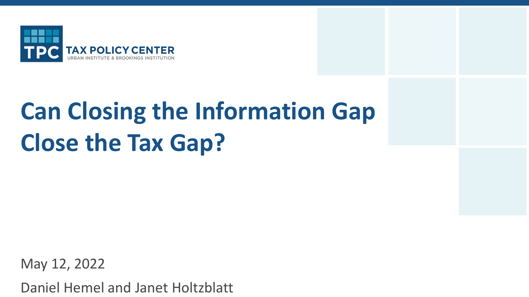

# **Can Closing the Information Gap Close the Tax Gap?**

May 12, 2022

Daniel Hemel and Janet Holtzblatt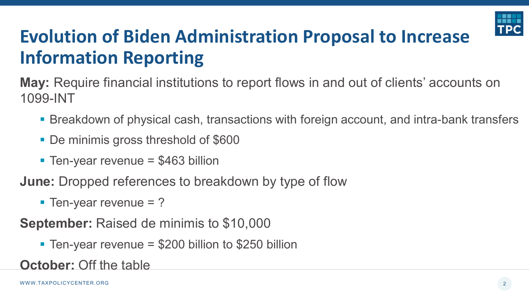

## **Evolution of Biden Administration Proposal to Increase Information Reporting**

**May:** Require financial institutions to report flows in and out of clients' accounts on 1099-INT

- Breakdown of physical cash, transactions with foreign account, and intra-bank transfers
- De minimis gross threshold of \$600
- Ten-year revenue  $= $463$  billion

**June:** Dropped references to breakdown by type of flow

 $\blacksquare$  Ten-year revenue = ?

**September:** Raised de minimis to \$10,000

Ten-year revenue  $= $200$  billion to \$250 billion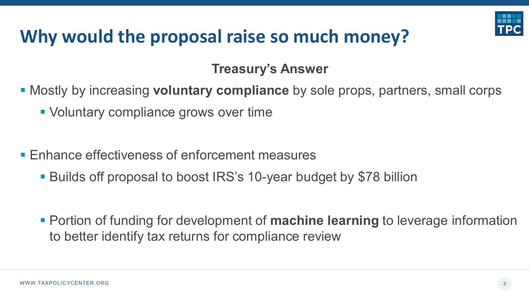

### **Why would the proposal raise so much money?**

**Treasury's Answer**

Mostly by increasing **voluntary compliance** by sole props, partners, small corps

- Voluntary compliance grows over time
- **Enhance effectiveness of enforcement measures** 
	- Builds off proposal to boost IRS's 10-year budget by \$78 billion
	- Portion of funding for development of **machine learning** to leverage information to better identify tax returns for compliance review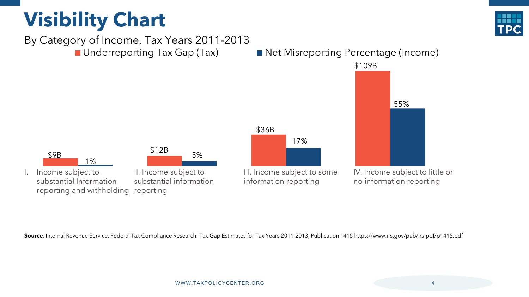# **Visibility Chart**





**Source**: Internal Revenue Service, Federal Tax Compliance Research: Tax Gap Estimates for Tax Years 2011-2013, Publication 1415 https://www.irs.gov/pub/irs-pdf/p1415.pdf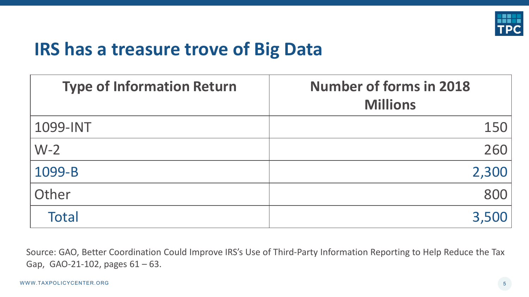

#### **IRS has a treasure trove of Big Data**

| <b>Type of Information Return</b> | <b>Number of forms in 2018</b><br><b>Millions</b> |
|-----------------------------------|---------------------------------------------------|
| 1099-INT                          | 150                                               |
| $W-2$                             | 260                                               |
| 1099-B                            | 2,300                                             |
| Other                             | 800                                               |
| <b>Total</b>                      | 3,500                                             |

Source: GAO, Better Coordination Could Improve IRS's Use of Third-Party Information Reporting to Help Reduce the Tax Gap, GAO-21-102, pages 61 – 63.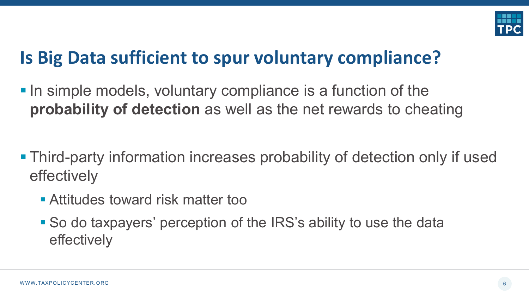

### **Is Big Data sufficient to spur voluntary compliance?**

- **In simple models, voluntary compliance is a function of the probability of detection** as well as the net rewards to cheating
- Third-party information increases probability of detection only if used effectively
	- Attitudes toward risk matter too
	- So do taxpayers' perception of the IRS's ability to use the data effectively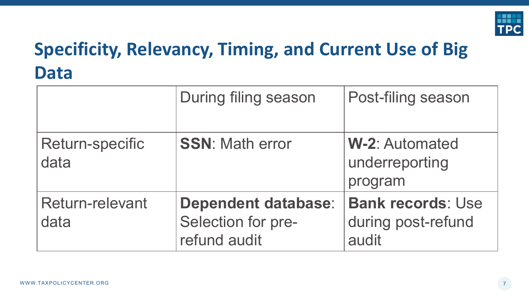

# **Specificity, Relevancy, Timing, and Current Use of Big Data**

|                                | During filing season                                             | Post-filing season                                      |
|--------------------------------|------------------------------------------------------------------|---------------------------------------------------------|
| <b>Return-specific</b><br>data | <b>SSN: Math error</b>                                           | <b>W-2: Automated</b><br>underreporting<br>program      |
| <b>Return-relevant</b><br>data | <b>Dependent database:</b><br>Selection for pre-<br>refund audit | <b>Bank records: Use</b><br>during post-refund<br>audit |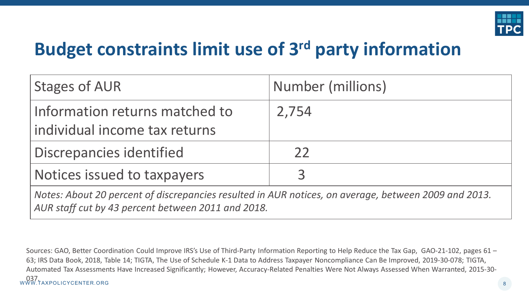

### **Budget constraints limit use of 3rd party information**

| <b>Stages of AUR</b>                                                                                 | Number (millions) |  |
|------------------------------------------------------------------------------------------------------|-------------------|--|
| Information returns matched to<br>individual income tax returns                                      | 2,754             |  |
| Discrepancies identified                                                                             | 22                |  |
| Notices issued to taxpayers                                                                          | $\mathbf{R}$      |  |
| Notes: About 20 percent of discrepancies resulted in AUR notices, on average, between 2009 and 2013. |                   |  |

*AUR staff cut by 43 percent between 2011 and 2018.*

WWW.TAXPOLICYCENTER.ORG 8 037.Sources: GAO, Better Coordination Could Improve IRS's Use of Third-Party Information Reporting to Help Reduce the Tax Gap, GAO-21-102, pages 61 – 63; IRS Data Book, 2018, Table 14; TIGTA, The Use of Schedule K-1 Data to Address Taxpayer Noncompliance Can Be Improved, 2019-30-078; TIGTA, Automated Tax Assessments Have Increased Significantly; However, Accuracy-Related Penalties Were Not Always Assessed When Warranted, 2015-30-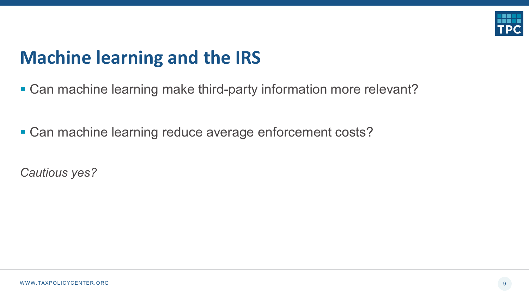

#### **Machine learning and the IRS**

- Can machine learning make third-party information more relevant?
- Can machine learning reduce average enforcement costs?

*Cautious yes?*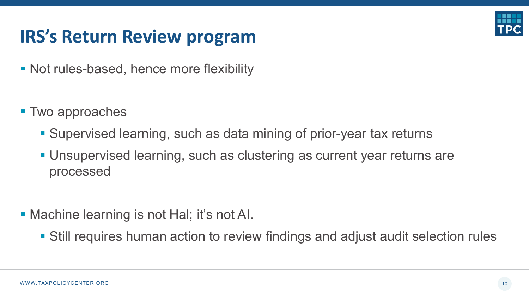

### **IRS's Return Review program**

- Not rules-based, hence more flexibility
- Two approaches
	- Supervised learning, such as data mining of prior-year tax returns
	- Unsupervised learning, such as clustering as current year returns are processed
- **Machine learning is not Hal; it's not AI.** 
	- Still requires human action to review findings and adjust audit selection rules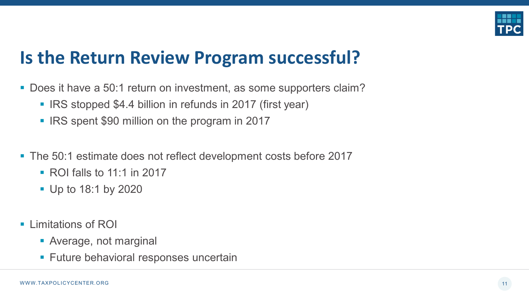

#### **Is the Return Review Program successful?**

- Does it have a 50:1 return on investment, as some supporters claim?
	- **IRS stopped \$4.4 billion in refunds in 2017 (first year)**
	- **IRS spent \$90 million on the program in 2017**
- The 50:1 estimate does not reflect development costs before 2017
	- $\blacksquare$  ROI falls to 11:1 in 2017
	- **Up to 18:1 by 2020**
- **E** Limitations of ROI
	- Average, not marginal
	- **Future behavioral responses uncertain**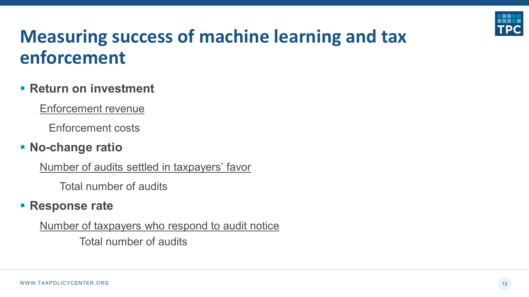

### **Measuring success of machine learning and tax enforcement**

#### **Return on investment**

Enforcement revenue

Enforcement costs

#### **No-change ratio**

Number of audits settled in taxpayers' favor

Total number of audits

#### **Response rate**

Number of taxpayers who respond to audit notice

Total number of audits